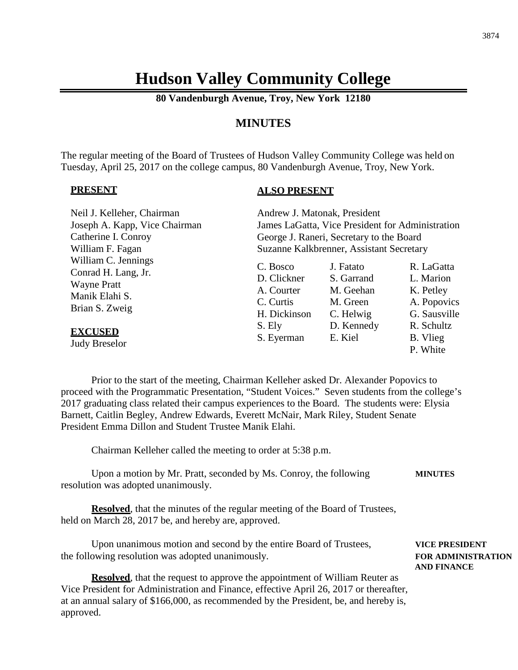# **Hudson Valley Community College**

**80 Vandenburgh Avenue, Troy, New York 12180**

# **MINUTES**

The regular meeting of the Board of Trustees of Hudson Valley Community College was held on Tuesday, April 25, 2017 on the college campus, 80 Vandenburgh Avenue, Troy, New York.

### **PRESENT**

### **ALSO PRESENT**

| Neil J. Kelleher, Chairman                                                                                                                     | Andrew J. Matonak, President                                                               |                                                                                        |                                                                                                           |
|------------------------------------------------------------------------------------------------------------------------------------------------|--------------------------------------------------------------------------------------------|----------------------------------------------------------------------------------------|-----------------------------------------------------------------------------------------------------------|
| Joseph A. Kapp, Vice Chairman                                                                                                                  | James LaGatta, Vice President for Administration                                           |                                                                                        |                                                                                                           |
| Catherine I. Conroy                                                                                                                            | George J. Raneri, Secretary to the Board                                                   |                                                                                        |                                                                                                           |
| William F. Fagan                                                                                                                               | Suzanne Kalkbrenner, Assistant Secretary                                                   |                                                                                        |                                                                                                           |
| William C. Jennings<br>Conrad H. Lang, Jr.<br><b>Wayne Pratt</b><br>Manik Elahi S.<br>Brian S. Zweig<br><b>EXCUSED</b><br><b>Judy Breselor</b> | C. Bosco<br>D. Clickner<br>A. Courter<br>C. Curtis<br>H. Dickinson<br>S. Ely<br>S. Eyerman | J. Fatato<br>S. Garrand<br>M. Geehan<br>M. Green<br>C. Helwig<br>D. Kennedy<br>E. Kiel | R. LaGatta<br>L. Marion<br>K. Petley<br>A. Popovics<br>G. Sausville<br>R. Schultz<br>B. Vlieg<br>P. White |
|                                                                                                                                                |                                                                                            |                                                                                        |                                                                                                           |

Prior to the start of the meeting, Chairman Kelleher asked Dr. Alexander Popovics to proceed with the Programmatic Presentation, "Student Voices." Seven students from the college's 2017 graduating class related their campus experiences to the Board. The students were: Elysia Barnett, Caitlin Begley, Andrew Edwards, Everett McNair, Mark Riley, Student Senate President Emma Dillon and Student Trustee Manik Elahi.

Chairman Kelleher called the meeting to order at 5:38 p.m.

Upon a motion by Mr. Pratt, seconded by Ms. Conroy, the following **MINUTES** resolution was adopted unanimously.

**Resolved**, that the minutes of the regular meeting of the Board of Trustees, held on March 28, 2017 be, and hereby are, approved.

Upon unanimous motion and second by the entire Board of Trustees, **VICE PRESIDENT** the following resolution was adopted unanimously. **FOR ADMINISTRATION**

**Resolved**, that the request to approve the appointment of William Reuter as Vice President for Administration and Finance, effective April 26, 2017 or thereafter, at an annual salary of \$166,000, as recommended by the President, be, and hereby is, approved.

**AND FINANCE**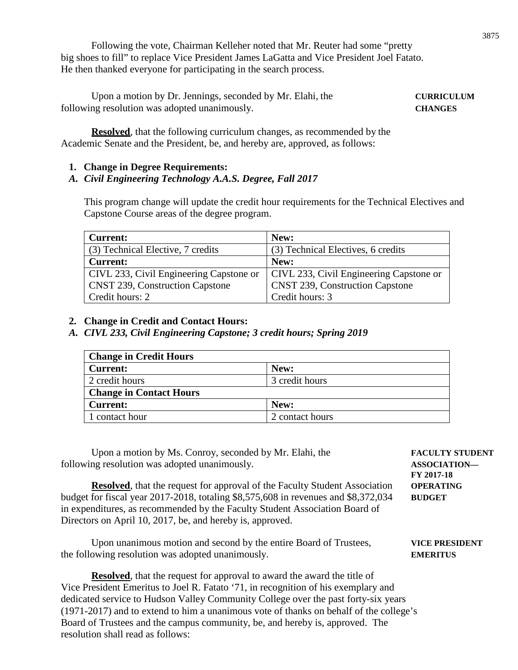Following the vote, Chairman Kelleher noted that Mr. Reuter had some "pretty big shoes to fill" to replace Vice President James LaGatta and Vice President Joel Fatato. He then thanked everyone for participating in the search process.

Upon a motion by Dr. Jennings, seconded by Mr. Elahi, the **CURRICULUM** following resolution was adopted unanimously. **CHANGES**

**Resolved**, that the following curriculum changes, as recommended by the Academic Senate and the President, be, and hereby are, approved, as follows:

### **1. Change in Degree Requirements:**

# *A. Civil Engineering Technology A.A.S. Degree, Fall 2017*

This program change will update the credit hour requirements for the Technical Electives and Capstone Course areas of the degree program.

| <b>Current:</b>                         | New:                                    |
|-----------------------------------------|-----------------------------------------|
| (3) Technical Elective, 7 credits       | (3) Technical Electives, 6 credits      |
| <b>Current:</b>                         | New:                                    |
| CIVL 233, Civil Engineering Capstone or | CIVL 233, Civil Engineering Capstone or |
| <b>CNST 239, Construction Capstone</b>  | <b>CNST 239, Construction Capstone</b>  |
| Credit hours: 2                         | Credit hours: 3                         |

### **2. Change in Credit and Contact Hours:**

*A. CIVL 233, Civil Engineering Capstone; 3 credit hours; Spring 2019*

| <b>Change in Credit Hours</b>  |                 |  |  |
|--------------------------------|-----------------|--|--|
| <b>Current:</b>                | New:            |  |  |
| 2 credit hours                 | 3 credit hours  |  |  |
| <b>Change in Contact Hours</b> |                 |  |  |
| <b>Current:</b>                | New:            |  |  |
| 1 contact hour                 | 2 contact hours |  |  |

Upon a motion by Ms. Conroy, seconded by Mr. Elahi, the **FACULTY STUDENT** following resolution was adopted unanimously. **ASSOCIATION— FY 2017-18 Resolved**, that the request for approval of the Faculty Student Association **OPERATING** budget for fiscal year 2017-2018, totaling \$8,575,608 in revenues and \$8,372,034 **BUDGET** in expenditures, as recommended by the Faculty Student Association Board of Directors on April 10, 2017, be, and hereby is, approved. Upon unanimous motion and second by the entire Board of Trustees, **VICE PRESIDENT** the following resolution was adopted unanimously. **EMERITUS Resolved**, that the request for approval to award the award the title of Vice President Emeritus to Joel R. Fatato '71, in recognition of his exemplary and

dedicated service to Hudson Valley Community College over the past forty-six years (1971-2017) and to extend to him a unanimous vote of thanks on behalf of the college's Board of Trustees and the campus community, be, and hereby is, approved. The resolution shall read as follows: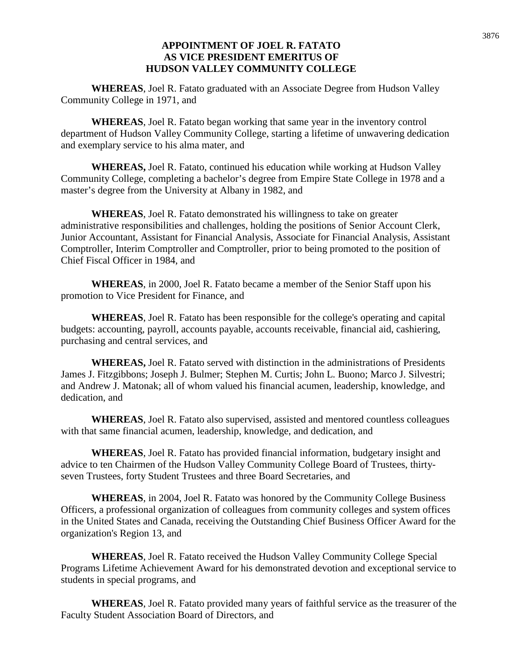### **APPOINTMENT OF JOEL R. FATATO AS VICE PRESIDENT EMERITUS OF HUDSON VALLEY COMMUNITY COLLEGE**

**WHEREAS**, Joel R. Fatato graduated with an Associate Degree from Hudson Valley Community College in 1971, and

**WHEREAS**, Joel R. Fatato began working that same year in the inventory control department of Hudson Valley Community College, starting a lifetime of unwavering dedication and exemplary service to his alma mater, and

**WHEREAS,** Joel R. Fatato, continued his education while working at Hudson Valley Community College, completing a bachelor's degree from Empire State College in 1978 and a master's degree from the University at Albany in 1982, and

**WHEREAS**, Joel R. Fatato demonstrated his willingness to take on greater administrative responsibilities and challenges, holding the positions of Senior Account Clerk, Junior Accountant, Assistant for Financial Analysis, Associate for Financial Analysis, Assistant Comptroller, Interim Comptroller and Comptroller, prior to being promoted to the position of Chief Fiscal Officer in 1984, and

**WHEREAS**, in 2000, Joel R. Fatato became a member of the Senior Staff upon his promotion to Vice President for Finance, and

**WHEREAS**, Joel R. Fatato has been responsible for the college's operating and capital budgets: accounting, payroll, accounts payable, accounts receivable, financial aid, cashiering, purchasing and central services, and

**WHEREAS,** Joel R. Fatato served with distinction in the administrations of Presidents James J. Fitzgibbons; Joseph J. Bulmer; Stephen M. Curtis; John L. Buono; Marco J. Silvestri; and Andrew J. Matonak; all of whom valued his financial acumen, leadership, knowledge, and dedication, and

**WHEREAS**, Joel R. Fatato also supervised, assisted and mentored countless colleagues with that same financial acumen, leadership, knowledge, and dedication, and

**WHEREAS**, Joel R. Fatato has provided financial information, budgetary insight and advice to ten Chairmen of the Hudson Valley Community College Board of Trustees, thirtyseven Trustees, forty Student Trustees and three Board Secretaries, and

**WHEREAS**, in 2004, Joel R. Fatato was honored by the Community College Business Officers, a professional organization of colleagues from community colleges and system offices in the United States and Canada, receiving the Outstanding Chief Business Officer Award for the organization's Region 13, and

**WHEREAS**, Joel R. Fatato received the Hudson Valley Community College Special Programs Lifetime Achievement Award for his demonstrated devotion and exceptional service to students in special programs, and

**WHEREAS**, Joel R. Fatato provided many years of faithful service as the treasurer of the Faculty Student Association Board of Directors, and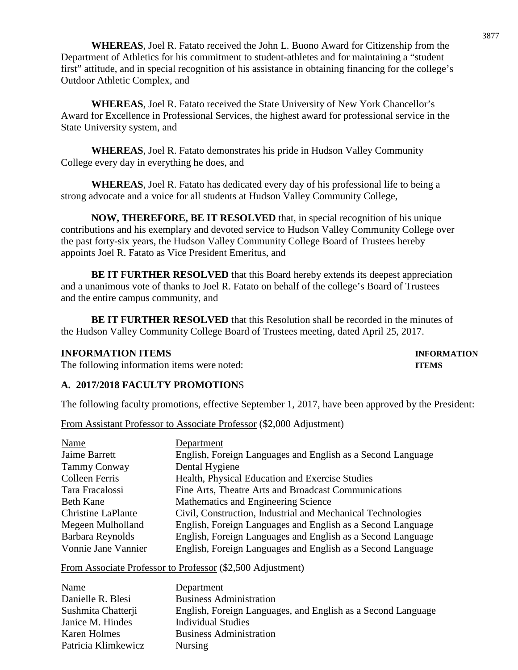**WHEREAS**, Joel R. Fatato received the John L. Buono Award for Citizenship from the Department of Athletics for his commitment to student-athletes and for maintaining a "student first" attitude, and in special recognition of his assistance in obtaining financing for the college's Outdoor Athletic Complex, and

**WHEREAS**, Joel R. Fatato received the State University of New York Chancellor's Award for Excellence in Professional Services, the highest award for professional service in the State University system, and

**WHEREAS**, Joel R. Fatato demonstrates his pride in Hudson Valley Community College every day in everything he does, and

**WHEREAS**, Joel R. Fatato has dedicated every day of his professional life to being a strong advocate and a voice for all students at Hudson Valley Community College,

**NOW, THEREFORE, BE IT RESOLVED** that, in special recognition of his unique contributions and his exemplary and devoted service to Hudson Valley Community College over the past forty-six years, the Hudson Valley Community College Board of Trustees hereby appoints Joel R. Fatato as Vice President Emeritus, and

**BE IT FURTHER RESOLVED** that this Board hereby extends its deepest appreciation and a unanimous vote of thanks to Joel R. Fatato on behalf of the college's Board of Trustees and the entire campus community, and

**BE IT FURTHER RESOLVED** that this Resolution shall be recorded in the minutes of the Hudson Valley Community College Board of Trustees meeting, dated April 25, 2017.

## **INFORMATION ITEMS INFORMATION**

The following information items were noted: **ITEMS**

## **A. 2017/2018 FACULTY PROMOTION**S

The following faculty promotions, effective September 1, 2017, have been approved by the President:

| From Assistant Professor to Associate Professor (\$2,000 Adjustment) |  |  |
|----------------------------------------------------------------------|--|--|
|----------------------------------------------------------------------|--|--|

| Name                      | Department                                                  |
|---------------------------|-------------------------------------------------------------|
| Jaime Barrett             | English, Foreign Languages and English as a Second Language |
| Tammy Conway              | Dental Hygiene                                              |
| <b>Colleen Ferris</b>     | Health, Physical Education and Exercise Studies             |
| Tara Fracalossi           | Fine Arts, Theatre Arts and Broadcast Communications        |
| <b>Beth Kane</b>          | Mathematics and Engineering Science                         |
| <b>Christine LaPlante</b> | Civil, Construction, Industrial and Mechanical Technologies |
| Megeen Mulholland         | English, Foreign Languages and English as a Second Language |
| Barbara Reynolds          | English, Foreign Languages and English as a Second Language |
| Vonnie Jane Vannier       | English, Foreign Languages and English as a Second Language |

## From Associate Professor to Professor (\$2,500 Adjustment)

| Name                | Department                                                   |
|---------------------|--------------------------------------------------------------|
| Danielle R. Blesi   | <b>Business Administration</b>                               |
| Sushmita Chatterji  | English, Foreign Languages, and English as a Second Language |
| Janice M. Hindes    | <b>Individual Studies</b>                                    |
| Karen Holmes        | <b>Business Administration</b>                               |
| Patricia Klimkewicz | <b>Nursing</b>                                               |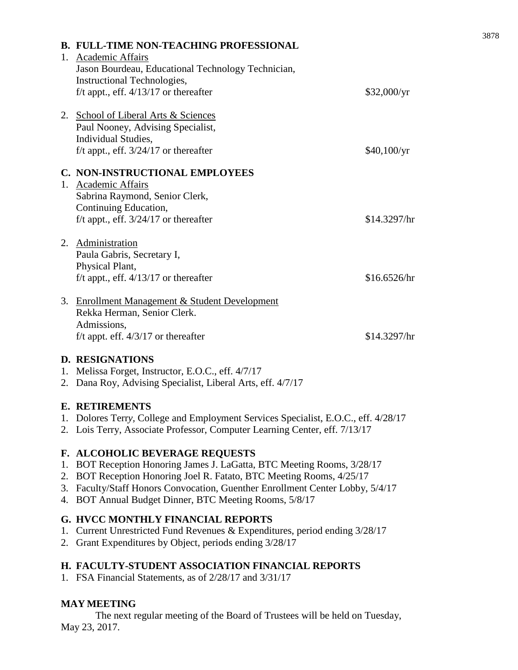| <b>B. FULL-TIME NON-TEACHING PROFESSIONAL</b><br>1. Academic Affairs<br>Jason Bourdeau, Educational Technology Technician,<br>Instructional Technologies, |              |
|-----------------------------------------------------------------------------------------------------------------------------------------------------------|--------------|
| f/t appt., eff. $4/13/17$ or thereafter                                                                                                                   | \$32,000/yr  |
| 2. School of Liberal Arts & Sciences<br>Paul Nooney, Advising Specialist,<br>Individual Studies,<br>f/t appt., eff. $3/24/17$ or thereafter               | \$40,100/yr  |
| C. NON-INSTRUCTIONAL EMPLOYEES                                                                                                                            |              |
| 1. Academic Affairs                                                                                                                                       |              |
| Sabrina Raymond, Senior Clerk,                                                                                                                            |              |
| Continuing Education,                                                                                                                                     |              |
| f/t appt., eff. $3/24/17$ or thereafter                                                                                                                   | \$14.3297/hr |
| 2. Administration                                                                                                                                         |              |
| Paula Gabris, Secretary I,                                                                                                                                |              |
| Physical Plant,                                                                                                                                           |              |
| f/t appt., eff. $4/13/17$ or thereafter                                                                                                                   | \$16.6526/hr |
| 3. Enrollment Management & Student Development                                                                                                            |              |
| Rekka Herman, Senior Clerk.                                                                                                                               |              |
| Admissions,                                                                                                                                               |              |
| f/t appt. eff. $4/3/17$ or thereafter                                                                                                                     | \$14.3297/hr |
| <b>DECION' LEIONIC</b>                                                                                                                                    |              |

## **D. RESIGNATIONS**

- 1. Melissa Forget, Instructor, E.O.C., eff. 4/7/17
- 2. Dana Roy, Advising Specialist, Liberal Arts, eff. 4/7/17

### **E. RETIREMENTS**

- 1. Dolores Terr*y,* College and Employment Services Specialist, E.O.C., eff. 4/28/17
- 2. Lois Terry, Associate Professor, Computer Learning Center, eff. 7/13/17

## **F. ALCOHOLIC BEVERAGE REQUESTS**

- 1. BOT Reception Honoring James J. LaGatta, BTC Meeting Rooms, 3/28/17
- 2. BOT Reception Honoring Joel R. Fatato, BTC Meeting Rooms, 4/25/17
- 3. Faculty/Staff Honors Convocation, Guenther Enrollment Center Lobby, 5/4/17
- 4. BOT Annual Budget Dinner, BTC Meeting Rooms, 5/8/17

## **G. HVCC MONTHLY FINANCIAL REPORTS**

- 1. Current Unrestricted Fund Revenues & Expenditures, period ending 3/28/17
- 2. Grant Expenditures by Object, periods ending 3/28/17

## **H. FACULTY-STUDENT ASSOCIATION FINANCIAL REPORTS**

1. FSA Financial Statements, as of 2/28/17 and 3/31/17

## **MAY MEETING**

The next regular meeting of the Board of Trustees will be held on Tuesday, May 23, 2017.